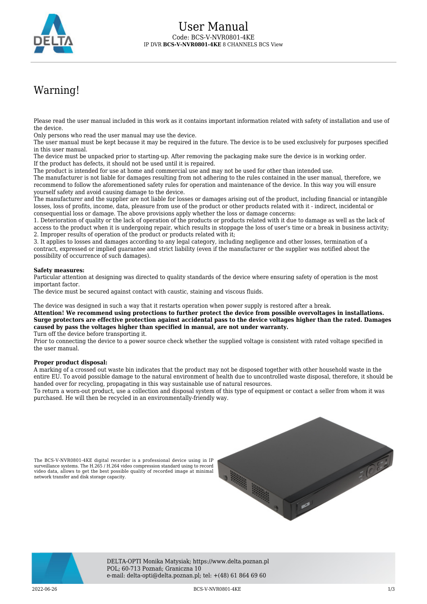

# Warning!

Please read the user manual included in this work as it contains important information related with safety of installation and use of the device.

Only persons who read the user manual may use the device.

The user manual must be kept because it may be required in the future. The device is to be used exclusively for purposes specified in this user manual.

The device must be unpacked prior to starting-up. After removing the packaging make sure the device is in working order. If the product has defects, it should not be used until it is repaired.

The product is intended for use at home and commercial use and may not be used for other than intended use.

The manufacturer is not liable for damages resulting from not adhering to the rules contained in the user manual, therefore, we recommend to follow the aforementioned safety rules for operation and maintenance of the device. In this way you will ensure yourself safety and avoid causing damage to the device.

The manufacturer and the supplier are not liable for losses or damages arising out of the product, including financial or intangible losses, loss of profits, income, data, pleasure from use of the product or other products related with it - indirect, incidental or consequential loss or damage. The above provisions apply whether the loss or damage concerns:

1. Deterioration of quality or the lack of operation of the products or products related with it due to damage as well as the lack of access to the product when it is undergoing repair, which results in stoppage the loss of user's time or a break in business activity; 2. Improper results of operation of the product or products related with it;

3. It applies to losses and damages according to any legal category, including negligence and other losses, termination of a contract, expressed or implied guarantee and strict liability (even if the manufacturer or the supplier was notified about the possibility of occurrence of such damages).

### **Safety measures:**

Particular attention at designing was directed to quality standards of the device where ensuring safety of operation is the most important factor.

The device must be secured against contact with caustic, staining and viscous fluids.

The device was designed in such a way that it restarts operation when power supply is restored after a break.

**Attention! We recommend using protections to further protect the device from possible overvoltages in installations. Surge protectors are effective protection against accidental pass to the device voltages higher than the rated. Damages caused by pass the voltages higher than specified in manual, are not under warranty.**

Turn off the device before transporting it.

Prior to connecting the device to a power source check whether the supplied voltage is consistent with rated voltage specified in the user manual.

#### **Proper product disposal:**

A marking of a crossed out waste bin indicates that the product may not be disposed together with other household waste in the entire EU. To avoid possible damage to the natural environment of health due to uncontrolled waste disposal, therefore, it should be handed over for recycling, propagating in this way sustainable use of natural resources.

To return a worn-out product, use a collection and disposal system of this type of equipment or contact a seller from whom it was purchased. He will then be recycled in an environmentally-friendly way.

The BCS-V-NVR0801-4KE digital recorder is a professional device using in IP surveillance systems. The H.265 / H.264 video compression standard using to record video data, allows to get the best possible quality of recorded image at minimal network transfer and disk storage capacity.





DELTA-OPTI Monika Matysiak; https://www.delta.poznan.pl POL; 60-713 Poznań; Graniczna 10 e-mail: delta-opti@delta.poznan.pl; tel: +(48) 61 864 69 60

2022-06-26 BCS-V-NVR0801-4KE 1/3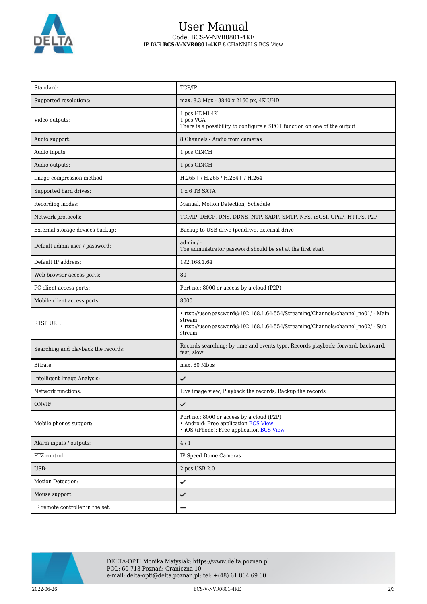

### User Manual Code: BCS-V-NVR0801-4KE IP DVR **BCS-V-NVR0801-4KE** 8 CHANNELS BCS View

| Standard:                           | TCP/IP                                                                                                                                                                                |
|-------------------------------------|---------------------------------------------------------------------------------------------------------------------------------------------------------------------------------------|
| Supported resolutions:              | max. 8.3 Mpx - 3840 x 2160 px, 4K UHD                                                                                                                                                 |
| Video outputs:                      | 1 pcs HDMI 4K<br>1 pcs VGA<br>There is a possibility to configure a SPOT function on one of the output                                                                                |
| Audio support:                      | 8 Channels - Audio from cameras                                                                                                                                                       |
| Audio inputs:                       | 1 pcs CINCH                                                                                                                                                                           |
| Audio outputs:                      | 1 pcs CINCH                                                                                                                                                                           |
| Image compression method:           | H.265+/H.265/H.264+/H.264                                                                                                                                                             |
| Supported hard drives:              | 1 x 6 TB SATA                                                                                                                                                                         |
| Recording modes:                    | Manual, Motion Detection, Schedule                                                                                                                                                    |
| Network protocols:                  | TCP/IP, DHCP, DNS, DDNS, NTP, SADP, SMTP, NFS, iSCSI, UPnP, HTTPS, P2P                                                                                                                |
| External storage devices backup:    | Backup to USB drive (pendrive, external drive)                                                                                                                                        |
| Default admin user / password:      | $admin / -$<br>The administrator password should be set at the first start                                                                                                            |
| Default IP address:                 | 192.168.1.64                                                                                                                                                                          |
| Web browser access ports:           | 80                                                                                                                                                                                    |
| PC client access ports:             | Port no.: 8000 or access by a cloud (P2P)                                                                                                                                             |
| Mobile client access ports:         | 8000                                                                                                                                                                                  |
| RTSP URL:                           | • rtsp://user:password@192.168.1.64:554/Streaming/Channels/channel no01/ - Main<br>stream<br>• rtsp://user:password@192.168.1.64:554/Streaming/Channels/channel no02/ - Sub<br>stream |
| Searching and playback the records: | Records searching: by time and events type. Records playback: forward, backward,<br>fast, slow                                                                                        |
| Bitrate:                            | max. 80 Mbps                                                                                                                                                                          |
| Intelligent Image Analysis:         | ✓                                                                                                                                                                                     |
| Network functions:                  | Live image view, Playback the records, Backup the records                                                                                                                             |
| ONVIF:                              | ✓                                                                                                                                                                                     |
| Mobile phones support:              | Port no.: 8000 or access by a cloud (P2P)<br>• Android: Free application BCS View<br>• iOS (iPhone): Free application BCS View                                                        |
| Alarm inputs / outputs:             | 4/1                                                                                                                                                                                   |
| PTZ control:                        | IP Speed Dome Cameras                                                                                                                                                                 |
| USB:                                | 2 pcs USB 2.0                                                                                                                                                                         |
| Motion Detection:                   | ✓                                                                                                                                                                                     |
| Mouse support:                      | ✓                                                                                                                                                                                     |
| IR remote controller in the set:    |                                                                                                                                                                                       |